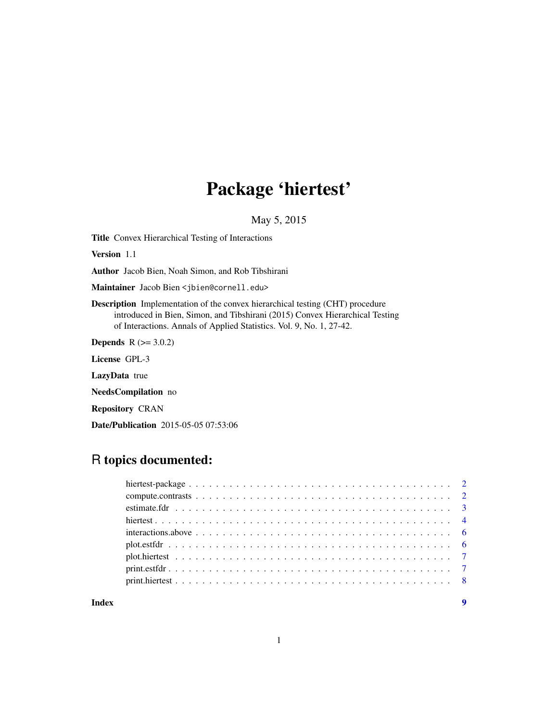# Package 'hiertest'

May 5, 2015

Title Convex Hierarchical Testing of Interactions

Version 1.1

Author Jacob Bien, Noah Simon, and Rob Tibshirani

Maintainer Jacob Bien <jbien@cornell.edu>

Description Implementation of the convex hierarchical testing (CHT) procedure introduced in Bien, Simon, and Tibshirani (2015) Convex Hierarchical Testing of Interactions. Annals of Applied Statistics. Vol. 9, No. 1, 27-42.

**Depends**  $R (= 3.0.2)$ 

License GPL-3

LazyData true

NeedsCompilation no

Repository CRAN

Date/Publication 2015-05-05 07:53:06

# R topics documented:

| Index |  |  |  |  |  |  |  |  |  |  |  |  |  |  |  | $\boldsymbol{Q}$ |
|-------|--|--|--|--|--|--|--|--|--|--|--|--|--|--|--|------------------|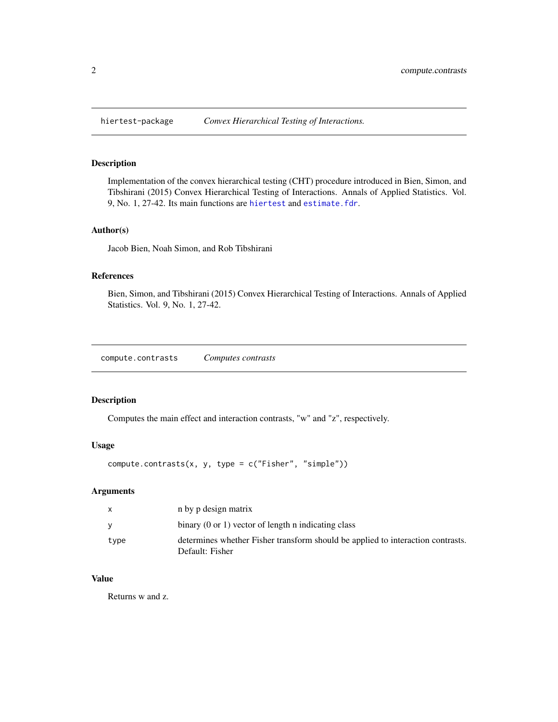<span id="page-1-0"></span>

#### Description

Implementation of the convex hierarchical testing (CHT) procedure introduced in Bien, Simon, and Tibshirani (2015) Convex Hierarchical Testing of Interactions. Annals of Applied Statistics. Vol. 9, No. 1, 27-42. Its main functions are [hiertest](#page-3-1) and [estimate.fdr](#page-2-1).

### Author(s)

Jacob Bien, Noah Simon, and Rob Tibshirani

### References

Bien, Simon, and Tibshirani (2015) Convex Hierarchical Testing of Interactions. Annals of Applied Statistics. Vol. 9, No. 1, 27-42.

compute.contrasts *Computes contrasts*

# Description

Computes the main effect and interaction contrasts, "w" and "z", respectively.

### Usage

```
compute.contrasts(x, y, type = c("Fisher", "simple"))
```
### Arguments

|      | n by p design matrix                                                                               |
|------|----------------------------------------------------------------------------------------------------|
|      | binary $(0 \text{ or } 1)$ vector of length n indicating class                                     |
| type | determines whether Fisher transform should be applied to interaction contrasts.<br>Default: Fisher |

# Value

Returns w and z.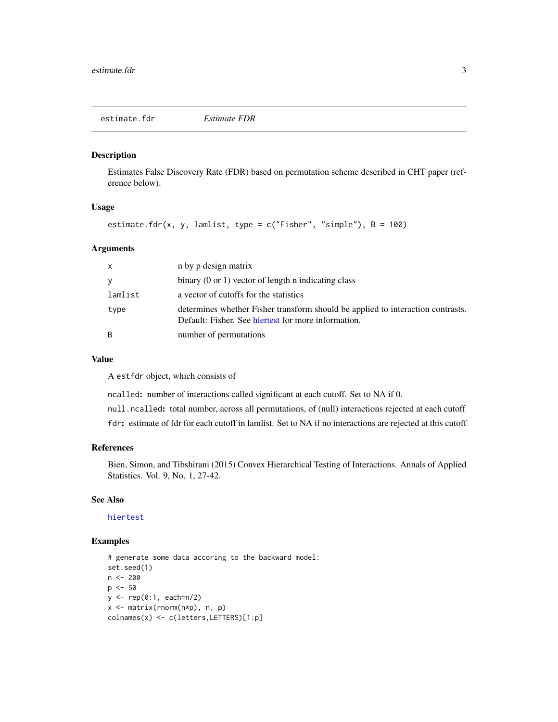<span id="page-2-1"></span><span id="page-2-0"></span>estimate.fdr *Estimate FDR*

# Description

Estimates False Discovery Rate (FDR) based on permutation scheme described in CHT paper (reference below).

#### Usage

```
estimate.fdr(x, y, lamlist, type = c("Fisher", "simple"), B = 100)
```
#### Arguments

| $\mathsf{x}$ | n by p design matrix                                                                                                                   |
|--------------|----------------------------------------------------------------------------------------------------------------------------------------|
| y            | binary $(0 \text{ or } 1)$ vector of length n indicating class                                                                         |
| lamlist      | a vector of cutoffs for the statistics                                                                                                 |
| type         | determines whether Fisher transform should be applied to interaction contrasts.<br>Default: Fisher. See hiertest for more information. |
| B            | number of permutations                                                                                                                 |

#### Value

A estfdr object, which consists of

ncalled: number of interactions called significant at each cutoff. Set to NA if 0.

null.ncalled: total number, across all permutations, of (null) interactions rejected at each cutoff

fdr: estimate of fdr for each cutoff in lamlist. Set to NA if no interactions are rejected at this cutoff

#### References

Bien, Simon, and Tibshirani (2015) Convex Hierarchical Testing of Interactions. Annals of Applied Statistics. Vol. 9, No. 1, 27-42.

# See Also

[hiertest](#page-3-1)

# Examples

```
# generate some data accoring to the backward model:
set.seed(1)
n <- 200
p <- 50
y \le - rep(0:1, each=n/2)x <- matrix(rnorm(n*p), n, p)
colnames(x) <- c(letters,LETTERS)[1:p]
```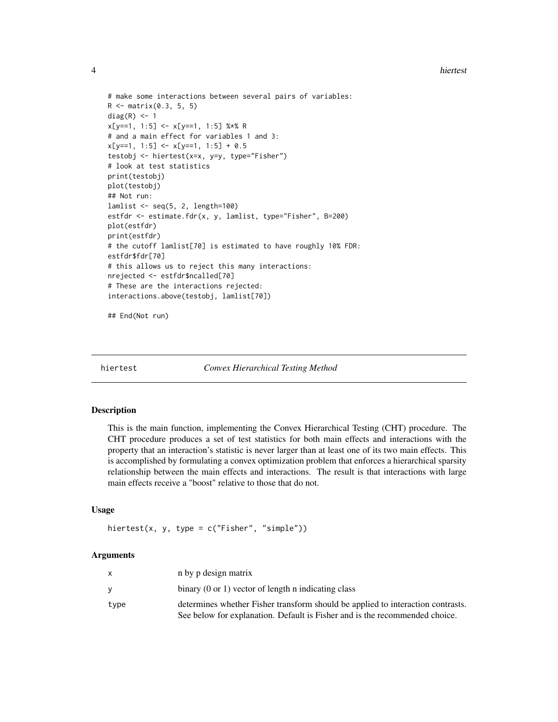<span id="page-3-0"></span>4 hiertest

```
# make some interactions between several pairs of variables:
R <- matrix(0.3, 5, 5)
diag(R) <- 1
x[y==1, 1:5] <- x[y==1, 1:5] %*% R
# and a main effect for variables 1 and 3:
x[y==1, 1:5] < -x[y==1, 1:5] + 0.5testobj <- hiertest(x=x, y=y, type="Fisher")
# look at test statistics
print(testobj)
plot(testobj)
## Not run:
lamlist \leq seq(5, 2, length=100)
estfdr <- estimate.fdr(x, y, lamlist, type="Fisher", B=200)
plot(estfdr)
print(estfdr)
# the cutoff lamlist[70] is estimated to have roughly 10% FDR:
estfdr$fdr[70]
# this allows us to reject this many interactions:
nrejected <- estfdr$ncalled[70]
# These are the interactions rejected:
interactions.above(testobj, lamlist[70])
```
## End(Not run)

<span id="page-3-1"></span>

hiertest *Convex Hierarchical Testing Method*

### Description

This is the main function, implementing the Convex Hierarchical Testing (CHT) procedure. The CHT procedure produces a set of test statistics for both main effects and interactions with the property that an interaction's statistic is never larger than at least one of its two main effects. This is accomplished by formulating a convex optimization problem that enforces a hierarchical sparsity relationship between the main effects and interactions. The result is that interactions with large main effects receive a "boost" relative to those that do not.

#### Usage

```
hiertest(x, y, type = c("Fisher", "simple"))
```
#### Arguments

|      | n by p design matrix                                                            |
|------|---------------------------------------------------------------------------------|
|      | binary $(0 \text{ or } 1)$ vector of length n indicating class                  |
| type | determines whether Fisher transform should be applied to interaction contrasts. |
|      | See below for explanation. Default is Fisher and is the recommended choice.     |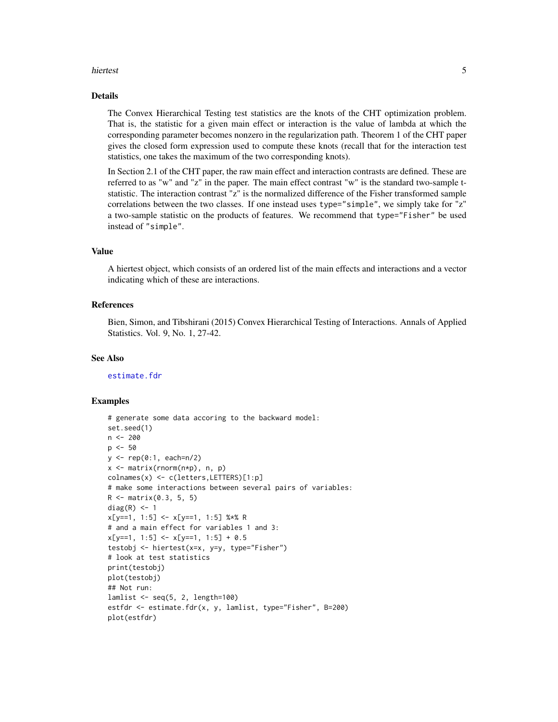#### <span id="page-4-0"></span>hiertest 5

### Details

The Convex Hierarchical Testing test statistics are the knots of the CHT optimization problem. That is, the statistic for a given main effect or interaction is the value of lambda at which the corresponding parameter becomes nonzero in the regularization path. Theorem 1 of the CHT paper gives the closed form expression used to compute these knots (recall that for the interaction test statistics, one takes the maximum of the two corresponding knots).

In Section 2.1 of the CHT paper, the raw main effect and interaction contrasts are defined. These are referred to as "w" and "z" in the paper. The main effect contrast "w" is the standard two-sample tstatistic. The interaction contrast "z" is the normalized difference of the Fisher transformed sample correlations between the two classes. If one instead uses type="simple", we simply take for "z" a two-sample statistic on the products of features. We recommend that type="Fisher" be used instead of "simple".

# Value

A hiertest object, which consists of an ordered list of the main effects and interactions and a vector indicating which of these are interactions.

#### References

Bien, Simon, and Tibshirani (2015) Convex Hierarchical Testing of Interactions. Annals of Applied Statistics. Vol. 9, No. 1, 27-42.

#### See Also

[estimate.fdr](#page-2-1)

#### Examples

```
# generate some data accoring to the backward model:
set.seed(1)
n <- 200
p \le -50y \le - rep(0:1, each=n/2)
x <- matrix(rnorm(n*p), n, p)
colnames(x) <- c(letters,LETTERS)[1:p]
# make some interactions between several pairs of variables:
R <- matrix(0.3, 5, 5)
diag(R) <- 1
x[y==1, 1:5] < -x[y==1, 1:5] %*% R
# and a main effect for variables 1 and 3:
x[y==1, 1:5] < -x[y==1, 1:5] + 0.5testobj <- hiertest(x=x, y=y, type="Fisher")
# look at test statistics
print(testobj)
plot(testobj)
## Not run:
lamlist <- seq(5, 2, length=100)
estfdr <- estimate.fdr(x, y, lamlist, type="Fisher", B=200)
plot(estfdr)
```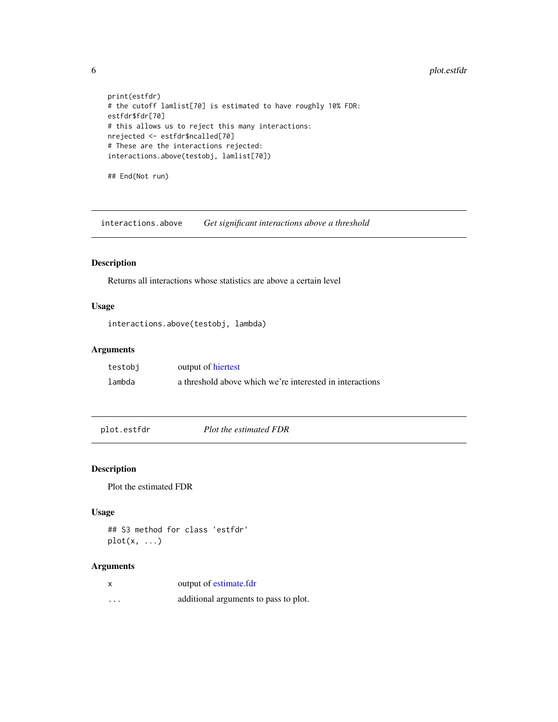```
print(estfdr)
# the cutoff lamlist[70] is estimated to have roughly 10% FDR:
estfdr$fdr[70]
# this allows us to reject this many interactions:
nrejected <- estfdr$ncalled[70]
# These are the interactions rejected:
interactions.above(testobj, lamlist[70])
```
## End(Not run)

interactions.above *Get significant interactions above a threshold*

# Description

Returns all interactions whose statistics are above a certain level

# Usage

```
interactions.above(testobj, lambda)
```
#### Arguments

| testobj | output of hiertest                                       |
|---------|----------------------------------------------------------|
| lambda  | a threshold above which we're interested in interactions |

plot.estfdr *Plot the estimated FDR*

#### Description

Plot the estimated FDR

### Usage

## S3 method for class 'estfdr'  $plot(x, \ldots)$ 

# Arguments

| output of estimate.fdr |  |
|------------------------|--|
|                        |  |

... additional arguments to pass to plot.

<span id="page-5-0"></span>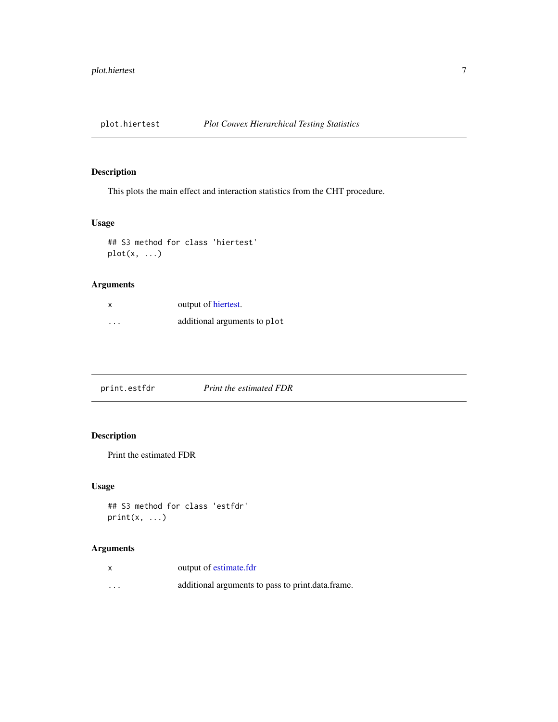<span id="page-6-0"></span>

# Description

This plots the main effect and interaction statistics from the CHT procedure.

# Usage

## S3 method for class 'hiertest' plot(x, ...)

# Arguments

| X        | output of hiertest.          |
|----------|------------------------------|
| $\cdots$ | additional arguments to plot |

print.estfdr *Print the estimated FDR*

# Description

Print the estimated FDR

# Usage

```
## S3 method for class 'estfdr'
print(x, \ldots)
```
# Arguments

| X        | output of estimate.fdr                            |
|----------|---------------------------------------------------|
| $\cdots$ | additional arguments to pass to print.data.frame. |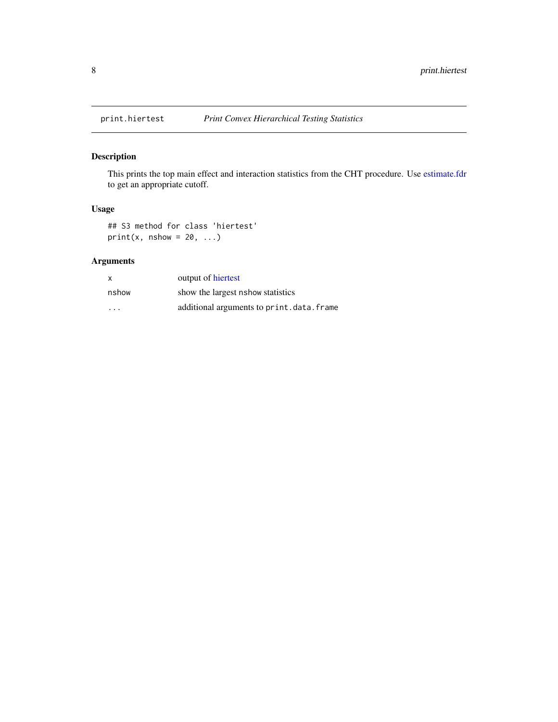<span id="page-7-0"></span>

# Description

This prints the top main effect and interaction statistics from the CHT procedure. Use [estimate.fdr](#page-2-1) to get an appropriate cutoff.

# Usage

## S3 method for class 'hiertest'  $print(x, nshow = 20, ...)$ 

# Arguments

| $\mathsf{x}$ | output of hiertest                       |
|--------------|------------------------------------------|
| nshow        | show the largest nshow statistics        |
| .            | additional arguments to print.data.frame |